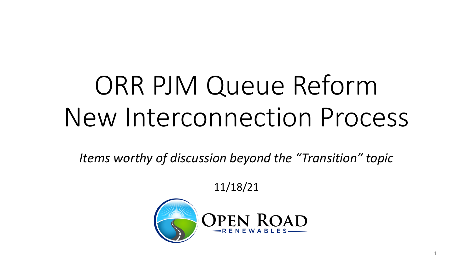# ORR PJM Queue Reform New Interconnection Process

*Items worthy of discussion beyond the "Transition" topic*

11/18/21

1

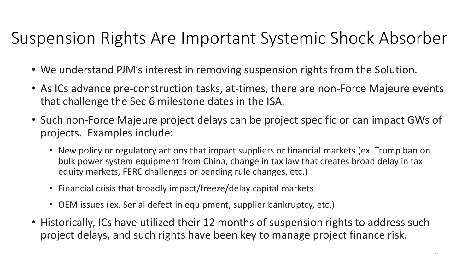#### Suspension Rights Are Important Systemic Shock Absorber

- We understand PJM's interest in removing suspension rights from the Solution.
- As ICs advance pre-construction tasks, at-times, there are non-Force Majeure events that challenge the Sec 6 milestone dates in the ISA.
- Such non-Force Majeure project delays can be project specific or can impact GWs of projects. Examples include:
	- New policy or regulatory actions that impact suppliers or financial markets (ex. Trump ban on bulk power system equipment from China, change in tax law that creates broad delay in tax equity markets, FERC challenges or pending rule changes, etc.)
	- Financial crisis that broadly impact/freeze/delay capital markets
	- OEM issues (ex. Serial defect in equipment, supplier bankruptcy, etc.)
- Historically, ICs have utilized their 12 months of suspension rights to address such project delays, and such rights have been key to manage project finance risk.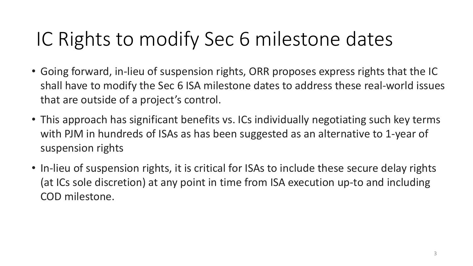## IC Rights to modify Sec 6 milestone dates

- Going forward, in-lieu of suspension rights, ORR proposes express rights that the IC shall have to modify the Sec 6 ISA milestone dates to address these real-world issues that are outside of a project's control.
- This approach has significant benefits vs. ICs individually negotiating such key terms with PJM in hundreds of ISAs as has been suggested as an alternative to 1-year of suspension rights
- In-lieu of suspension rights, it is critical for ISAs to include these secure delay rights (at ICs sole discretion) at any point in time from ISA execution up-to and including COD milestone.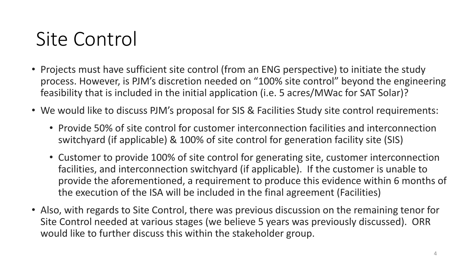#### Site Control

- Projects must have sufficient site control (from an ENG perspective) to initiate the study process. However, is PJM's discretion needed on "100% site control" beyond the engineering feasibility that is included in the initial application (i.e. 5 acres/MWac for SAT Solar)?
- We would like to discuss PJM's proposal for SIS & Facilities Study site control requirements:
	- Provide 50% of site control for customer interconnection facilities and interconnection switchyard (if applicable) & 100% of site control for generation facility site (SIS)
	- Customer to provide 100% of site control for generating site, customer interconnection facilities, and interconnection switchyard (if applicable). If the customer is unable to provide the aforementioned, a requirement to produce this evidence within 6 months of the execution of the ISA will be included in the final agreement (Facilities)
- Also, with regards to Site Control, there was previous discussion on the remaining tenor for Site Control needed at various stages (we believe 5 years was previously discussed). ORR would like to further discuss this within the stakeholder group.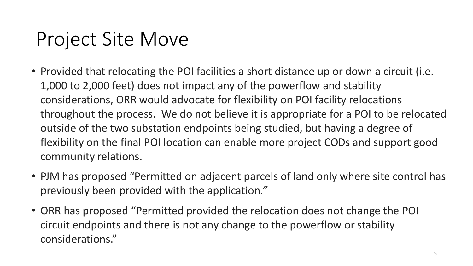#### Project Site Move

- Provided that relocating the POI facilities a short distance up or down a circuit (i.e. 1,000 to 2,000 feet) does not impact any of the powerflow and stability considerations, ORR would advocate for flexibility on POI facility relocations throughout the process. We do not believe it is appropriate for a POI to be relocated outside of the two substation endpoints being studied, but having a degree of flexibility on the final POI location can enable more project CODs and support good community relations.
- PJM has proposed "Permitted on adjacent parcels of land only where site control has previously been provided with the application*."*
- ORR has proposed "Permitted provided the relocation does not change the POI circuit endpoints and there is not any change to the powerflow or stability considerations."